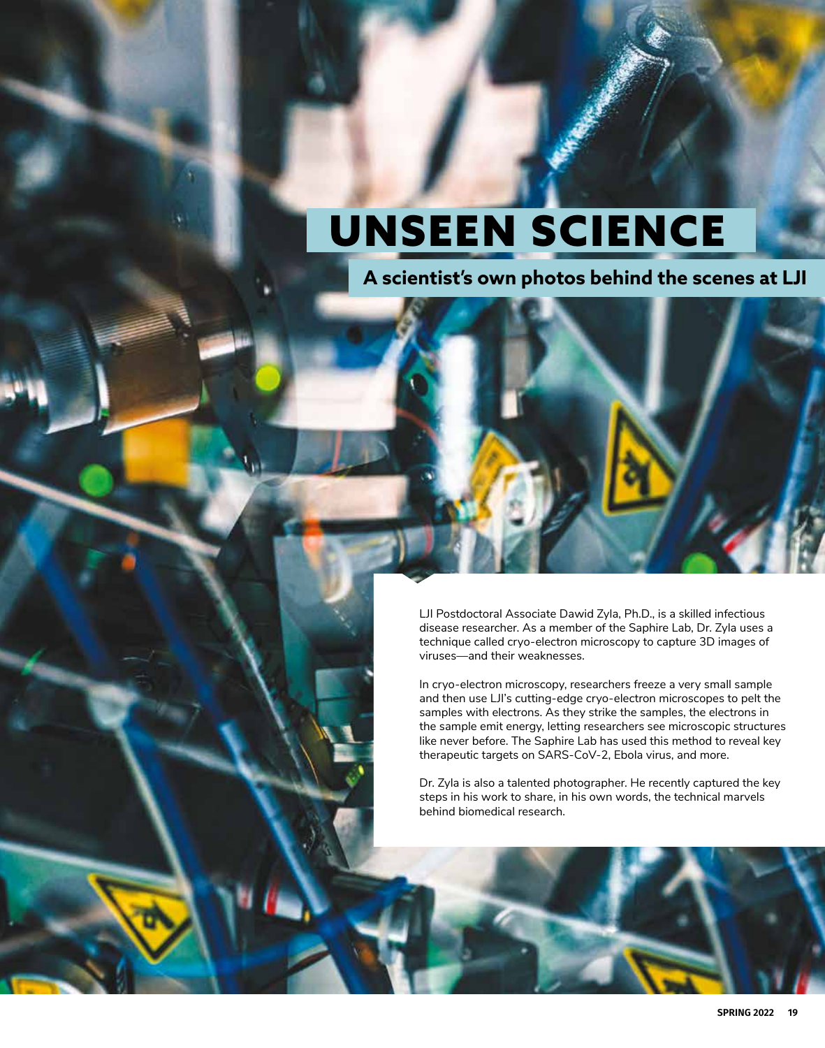# UNSEEN SCIENCE

**A scientist's own photos behind the scenes at LJI**

LJI Postdoctoral Associate Dawid Zyla, Ph.D., is a skilled infectious disease researcher. As a member of the Saphire Lab, Dr. Zyla uses a technique called cryo-electron microscopy to capture 3D images of viruses—and their weaknesses.

In cryo-electron microscopy, researchers freeze a very small sample and then use LJI's cutting-edge cryo-electron microscopes to pelt the samples with electrons. As they strike the samples, the electrons in the sample emit energy, letting researchers see microscopic structures like never before. The Saphire Lab has used this method to reveal key therapeutic targets on SARS-CoV-2, Ebola virus, and more.

Dr. Zyla is also a talented photographer. He recently captured the key steps in his work to share, in his own words, the technical marvels behind biomedical research.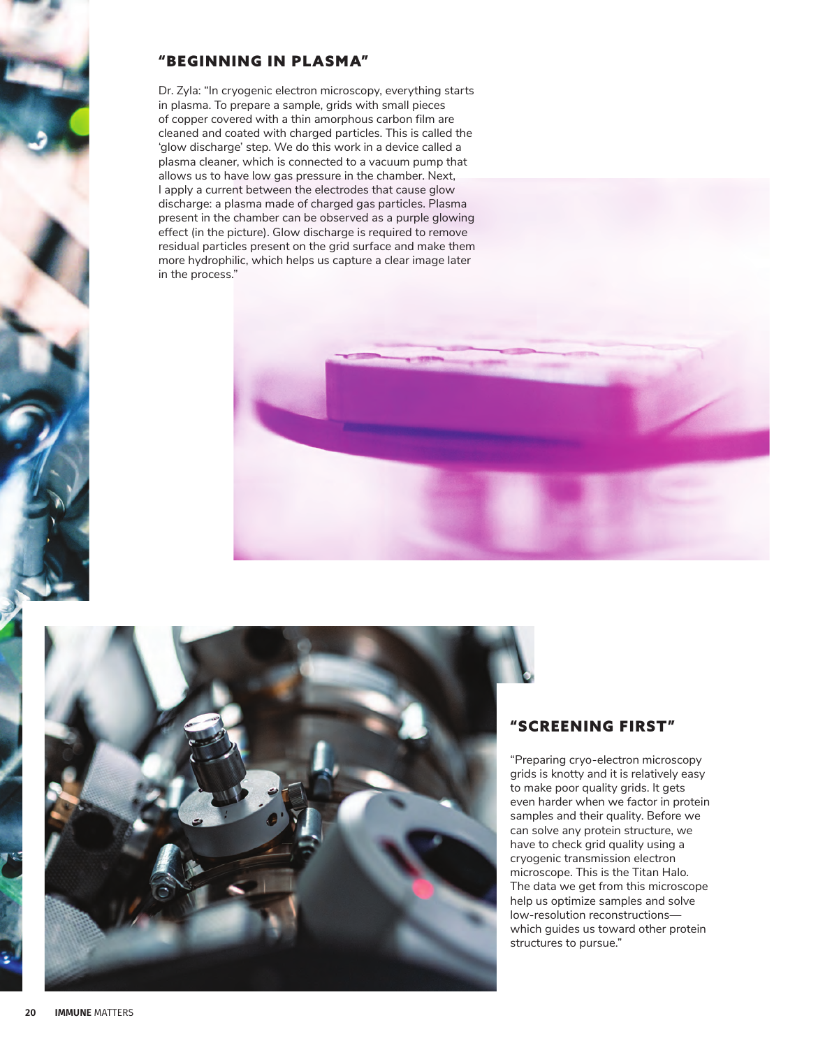## "BEGINNING IN PLASMA"

Dr. Zyla: "In cryogenic electron microscopy, everything starts in plasma. To prepare a sample, grids with small pieces of copper covered with a thin amorphous carbon film are cleaned and coated with charged particles. This is called the 'glow discharge' step. We do this work in a device called a plasma cleaner, which is connected to a vacuum pump that allows us to have low gas pressure in the chamber. Next, I apply a current between the electrodes that cause glow discharge: a plasma made of charged gas particles. Plasma present in the chamber can be observed as a purple glowing effect (in the picture). Glow discharge is required to remove residual particles present on the grid surface and make them more hydrophilic, which helps us capture a clear image later in the process."





#### "SCREENING FIRST"

"Preparing cryo-electron microscopy grids is knotty and it is relatively easy to make poor quality grids. It gets even harder when we factor in protein samples and their quality. Before we can solve any protein structure, we have to check grid quality using a cryogenic transmission electron microscope. This is the Titan Halo. The data we get from this microscope help us optimize samples and solve low-resolution reconstructions which guides us toward other protein structures to pursue."